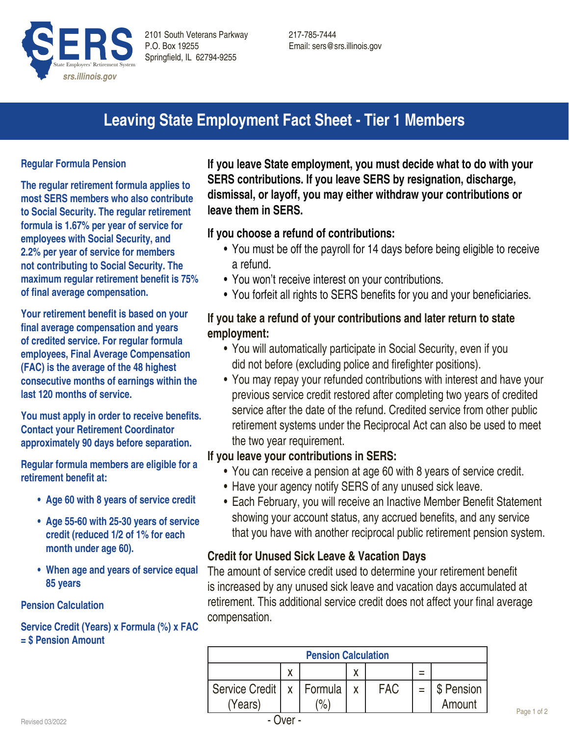

# **Leaving State Employment Fact Sheet - Tier 1 Members**

#### **Regular Formula Pension**

**The regular retirement formula applies to most SERS members who also contribute to Social Security. The regular retirement formula is 1.67% per year of service for employees with Social Security, and 2.2% per year of service for members not contributing to Social Security. The maximum regular retirement benefit is 75% of final average compensation.**

**Your retirement benefit is based on your final average compensation and years of credited service. For regular formula employees, Final Average Compensation (FAC) is the average of the 48 highest consecutive months of earnings within the last 120 months of service.** 

**You must apply in order to receive benefits. Contact your Retirement Coordinator approximately 90 days before separation.**

**Regular formula members are eligible for a retirement benefit at:**

- **• Age 60 with 8 years of service credit**
- **• Age 55-60 with 25-30 years of service credit (reduced 1/2 of 1% for each month under age 60).**
- **• When age and years of service equal 85 years**

#### **Pension Calculation**

#### **Service Credit (Years) x Formula (%) x FAC = \$ Pension Amount**

**If you leave State employment, you must decide what to do with your SERS contributions. If you leave SERS by resignation, discharge, dismissal, or layoff, you may either withdraw your contributions or leave them in SERS.** 

## **If you choose a refund of contributions:**

- You must be off the payroll for 14 days before being eligible to receive a refund.
- You won't receive interest on your contributions.
- You forfeit all rights to SERS benefits for you and your beneficiaries.

# **If you take a refund of your contributions and later return to state employment:**

- You will automatically participate in Social Security, even if you did not before (excluding police and firefighter positions).
- You may repay your refunded contributions with interest and have your previous service credit restored after completing two years of credited service after the date of the refund. Credited service from other public retirement systems under the Reciprocal Act can also be used to meet the two year requirement.

## **If you leave your contributions in SERS:**

- You can receive a pension at age 60 with 8 years of service credit.
- Have your agency notify SERS of any unused sick leave.
- Each February, you will receive an Inactive Member Benefit Statement showing your account status, any accrued benefits, and any service that you have with another reciprocal public retirement pension system.

## **Credit for Unused Sick Leave & Vacation Days**

The amount of service credit used to determine your retirement benefit is increased by any unused sick leave and vacation days accumulated at retirement. This additional service credit does not affect your final average compensation.

| <b>Pension Calculation</b> |   |             |   |            |  |            |  |
|----------------------------|---|-------------|---|------------|--|------------|--|
|                            | x |             | χ |            |  |            |  |
| Service Credit             |   | x   Formula |   | <b>FAC</b> |  | \$ Pension |  |
| (Years)                    |   | $\%$        |   |            |  | Amount     |  |